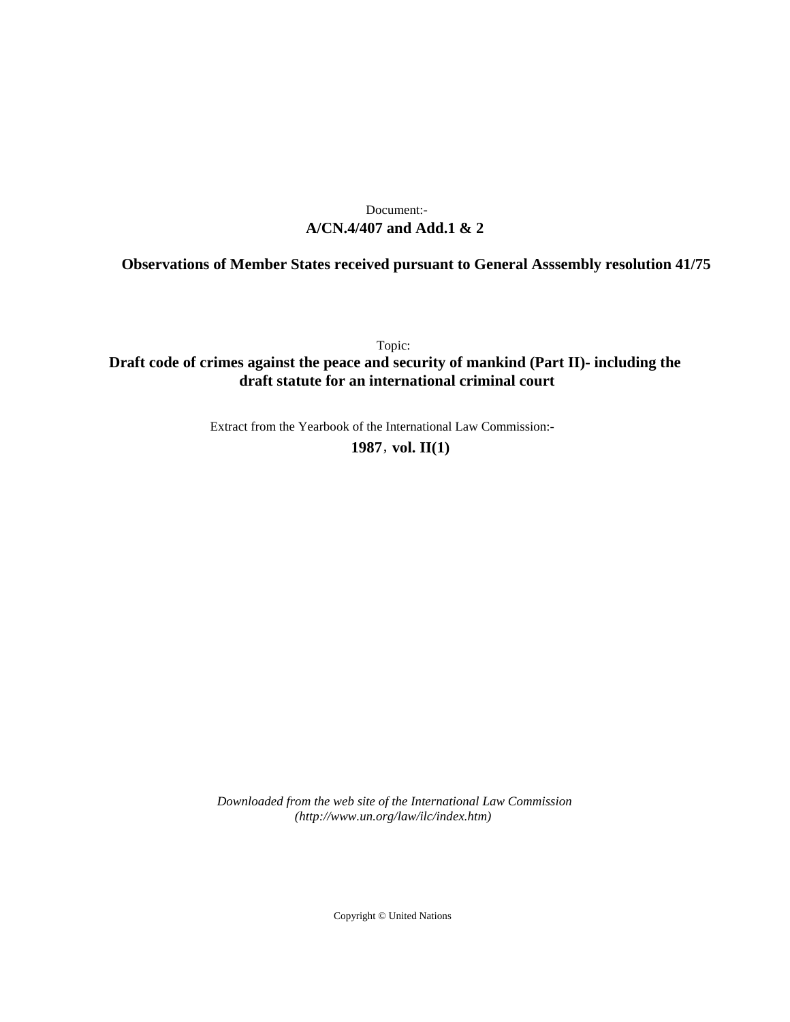# **A/CN.4/407 and Add.1 & 2** Document:-

# **Observations of Member States received pursuant to General Asssembly resolution 41/75**

Topic:

# **Draft code of crimes against the peace and security of mankind (Part II)- including the draft statute for an international criminal court**

Extract from the Yearbook of the International Law Commission:-

**1987** , **vol. II(1)**

*Downloaded from the web site of the International Law Commission (http://www.un.org/law/ilc/index.htm)*

Copyright © United Nations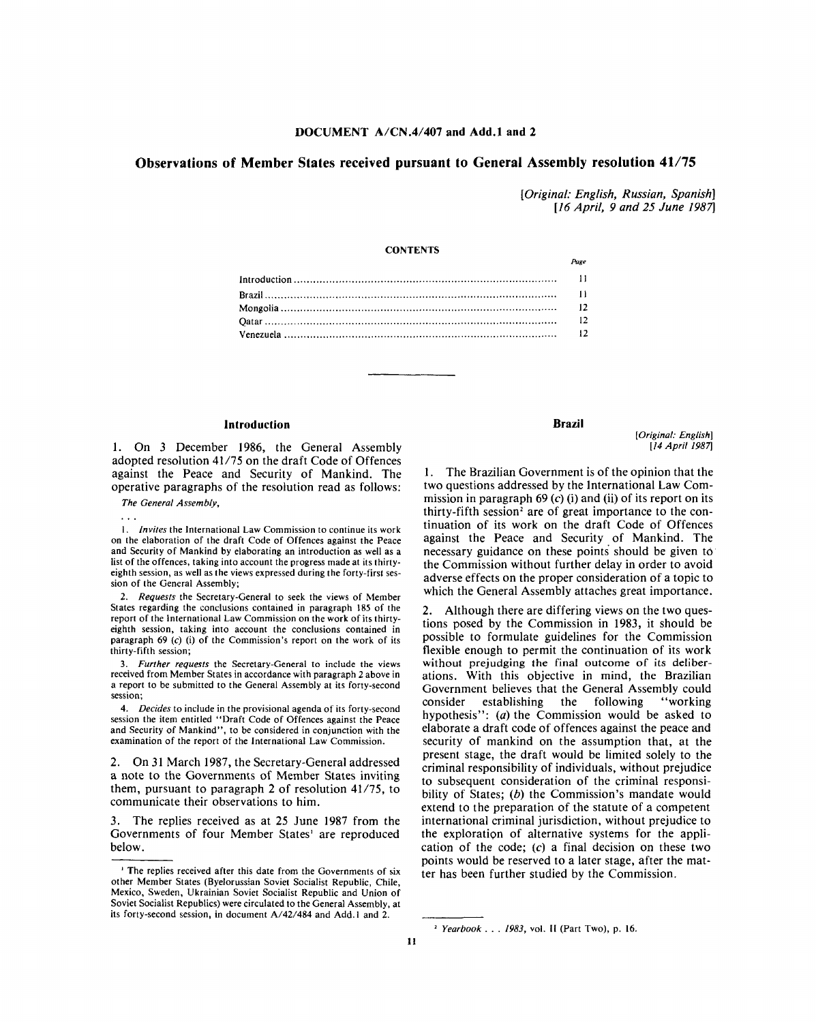#### **DOCUMENT A/CN.4/407 and Add.l and 2**

## **Observations of Member States received pursuant to General Assembly resolution 41/75**

*[Original: English, Russian, Spanish] [16 April, 9 and 25 June 1987]*

### **CONTENTS**

#### **Introduction**

1. On 3 December 1986, the General Assembly adopted resolution 41/75 on the draft Code of Offences against the Peace and Security of Mankind. The operative paragraphs of the resolution read as follows:

*The General Assembly,*

1. *Invites* the International Law Commission to continue its work on the elaboration of the draft Code of Offences against the Peace and Security of Mankind by elaborating an introduction as well as a list of the offences, taking into account the progress made at its thirtyeighth session, as well as the views expressed during the forty-first session of the General Assembly;

2. *Requests* the Secretary-General to seek the views of Member States regarding the conclusions contained in paragraph 185 of the report of the International Law Commission on the work of its thirtyeighth session, taking into account the conclusions contained in paragraph 69 (c) (i) of the Commission's report on the work of its thirty-fifth session;

3. *Further requests* the Secretary-General to include the views received from Member States in accordance with paragraph 2 above in a report to be submitted to the General Assembly at its forty-second session;

4. *Decides* to include in the provisional agenda of its forty-second session the item entitled "Draft Code of Offences against the Peace and Security of Mankind", to be considered in conjunction with the examination of the report of the International Law Commission.

2. On 31 March 1987, the Secretary-General addressed a note to the Governments of Member States inviting them, pursuant to paragraph 2 of resolution 41/75, to communicate their observations to him.

The replies received as at 25 June 1987 from the Governments of four Member States<sup>1</sup> are reproduced below.

#### **Brazil**

*Page*

*[Original: English] [14 April 1987]*

1. The Brazilian Government is of the opinion that the two questions addressed by the International Law Commission in paragraph  $69$  (c) (i) and (ii) of its report on its thirty-fifth session<sup>2</sup> are of great importance to the continuation of its work on the draft Code of Offences against the Peace and Security of Mankind. The necessary guidance on these points should be given to the Commission without further delay in order to avoid adverse effects on the proper consideration of a topic to which the General Assembly attaches great importance.

2. Although there are differing views on the two questions posed by the Commission in 1983, it should be possible to formulate guidelines for the Commission flexible enough to permit the continuation of its work without prejudging the final outcome of its deliberations. With this objective in mind, the Brazilian Government believes that the General Assembly could consider establishing the following "working hypothesis": *(a)* the Commission would be asked to elaborate a draft code of offences against the peace and security of mankind on the assumption that, at the present stage, the draft would be limited solely to the criminal responsibility of individuals, without prejudice to subsequent consideration of the criminal responsibility of States; *(b)* the Commission's mandate would extend to the preparation of the statute of a competent international criminal jurisdiction, without prejudice to the exploration of alternative systems for the application of the code; (c) a final decision on these two points would be reserved to a later stage, after the matter has been further studied by the Commission.

<sup>1</sup> The replies received after this date from the Governments of six other Member States (Byelorussian Soviet Socialist Republic, Chile, Mexico, Sweden, Ukrainian Soviet Socialist Republic and Union of Soviet Socialist Republics) were circulated to the General Assembly, at its forty-second session, in document A/42/484 and Add.l and 2.

*Yearbook* . . . *1983,* vol. II (Part Two), p. 16.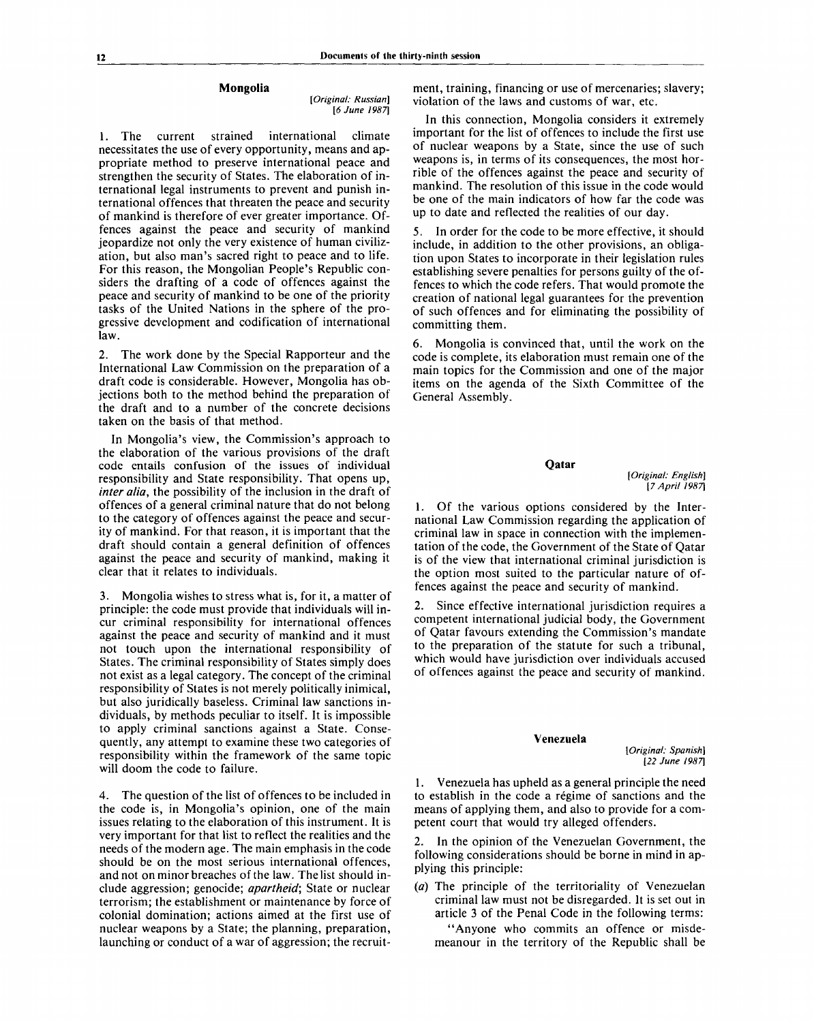#### **Mongolia**

*[Original: Russian] [6 June 1987]*

**1.** The current strained international climate necessitates the use of every opportunity, means and appropriate method to preserve international peace and strengthen the security of States. The elaboration of international legal instruments to prevent and punish international offences that threaten the peace and security of mankind is therefore of ever greater importance. Offences against the peace and security of mankind jeopardize not only the very existence of human civilization, but also man's sacred right to peace and to life. For this reason, the Mongolian People's Republic considers the drafting of a code of offences against the peace and security of mankind to be one of the priority tasks of the United Nations in the sphere of the progressive development and codification of international law.

2. The work done by the Special Rapporteur and the International Law Commission on the preparation of a draft code is considerable. However, Mongolia has objections both to the method behind the preparation of the draft and to a number of the concrete decisions taken on the basis of that method.

In Mongolia's view, the Commission's approach to the elaboration of the various provisions of the draft code entails confusion of the issues of individual responsibility and State responsibility. That opens up, *inter alia,* the possibility of the inclusion in the draft of offences of a general criminal nature that do not belong to the category of offences against the peace and security of mankind. For that reason, it is important that the draft should contain a general definition of offences against the peace and security of mankind, making it clear that it relates to individuals.

3. Mongolia wishes to stress what is, for it, a matter of principle: the code must provide that individuals will incur criminal responsibility for international offences against the peace and security of mankind and it must not touch upon the international responsibility of States. The criminal responsibility of States simply does not exist as a legal category. The concept of the criminal responsibility of States is not merely politically inimical, but also juridically baseless. Criminal law sanctions individuals, by methods peculiar to itself. It is impossible to apply criminal sanctions against a State. Consequently, any attempt to examine these two categories of responsibility within the framework of the same topic will doom the code to failure.

4. The question of the list of offences to be included in the code is, in Mongolia's opinion, one of the main issues relating to the elaboration of this instrument. It is very important for that list to reflect the realities and the needs of the modern age. The main emphasis in the code should be on the most serious international offences, and not on minor breaches of the law. The list should include aggression; genocide; *apartheid;* State or nuclear terrorism; the establishment or maintenance by force of colonial domination; actions aimed at the first use of nuclear weapons by a State; the planning, preparation, launching or conduct of a war of aggression; the recruit-

ment, training, financing or use of mercenaries; slavery; violation of the laws and customs of war, etc.

In this connection, Mongolia considers it extremely important for the list of offences to include the first use of nuclear weapons by a State, since the use of such weapons is, in terms of its consequences, the most horrible of the offences against the peace and security of mankind. The resolution of this issue in the code would be one of the main indicators of how far the code was up to date and reflected the realities of our day.

5. In order for the code to be more effective, it should include, in addition to the other provisions, an obligation upon States to incorporate in their legislation rules establishing severe penalties for persons guilty of the offences to which the code refers. That would promote the creation of national legal guarantees for the prevention of such offences and for eliminating the possibility of committing them.

6. Mongolia is convinced that, until the work on the code is complete, its elaboration must remain one of the main topics for the Commission and one of the major items on the agenda of the Sixth Committee of the General Assembly.

#### **Qatar**

*[Original: English] [7 April 1987]*

1. Of the various options considered by the International Law Commission regarding the application of criminal law in space in connection with the implementation of the code, the Government of the State of Qatar is of the view that international criminal jurisdiction is the option most suited to the particular nature of offences against the peace and security of mankind.

2. Since effective international jurisdiction requires a competent international judicial body, the Government of Qatar favours extending the Commission's mandate to the preparation of the statute for such a tribunal, which would have jurisdiction over individuals accused of offences against the peace and security of mankind.

#### **Venezuela**

*[Original: Spanish] [22 June 1987]*

1. Venezuela has upheld as a general principle the need to establish in the code a regime of sanctions and the means of applying them, and also to provide for a competent court that would try alleged offenders.

In the opinion of the Venezuelan Government, the following considerations should be borne in mind in applying this principle:

*(a)* The principle of the territoriality of Venezuelan criminal law must not be disregarded. It is set out in article 3 of the Penal Code in the following terms:

"Anyone who commits an offence or misdemeanour in the territory of the Republic shall be